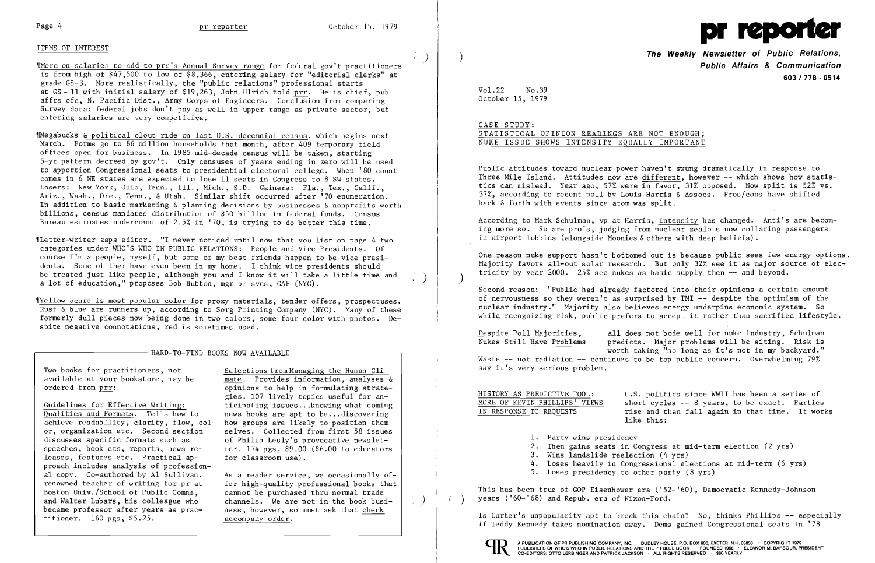## ITEMS OF INTEREST

'IMore on salaries to add to prr's Annual Survey range for federal gov't practitioners is from high of \$47,500 to low of \$8,366, entering salary for "editorial clerks" at grade  $GS-3$ . More realistically, the "public relations" professional starts at  $GS - 11$  with initial salary of \$19.263, John Ulrich told prr. He is chief, pub affrs ofc, N. Pacific Dist., Army Corps of Engineers. Conclusion from comparing Survey data: federal jobs don't pay as well in upper range as private sector, but entering salaries are very competitive.

'IMegabucks & political clout ride on last U.S. decennial census, which begins next March. Forms go to 86 million households that month, after 409 temporary field offices open for business. In 1985 mid-decade census will be taken, starting 5-yr pattern decreed by gov't. Only censuses of years ending in zero will be used to apportion Congressional seats to presidential electoral college. When '80 count comes in 6 NE states are expected to lose 11 seats in Congress to 8 SW states. Losers: New York, Ohio, Tenn., Ill., Mich., S.D. Gainers: Fla., Tex., Calif., Ariz., Wash., Ore., Tenn., & Utah. Similar shift occurred after '70 enumeration. In addition to basic marketing & planning decisions by businesses & nonprofits worth billions, census mandates distribution of \$50 billion in federal funds. Census Bureau estimates undercount of 2.5% in '70, is trying to do better this time.

'ILetter-writer zaps editor. "I never noticed until now that you list on page 4 two categories under WHO'S WHO IN PUBLIC RELATIONS: People and Vice Presidents. Of course I'm a people, myself, but some of my best friends happen to be vice presidents. Some of them have even been in my home. I think vice presidents should be treated just like people, although you and I know it will take a little time and a lot of education," proposes Bob But ton, mgr pr svcs, GAF (NYC).

**The Weekly Newsletter of Public Relations. Public Affairs & Communication 603/778·0514** 

According to Mark Schulman, vp at Harris, intensity has changed. Anti's are becoming more so. So are pro's, judging from nuclear zealots now collaring passengers in airport lobbies (alongside Moonies & others with deep beliefs).

'IYellow ochre is most popular color for proxy materials, tender offers, prospectuses. Rust & blue are runners up, according to Sorg Printing Company (NYC). Many of these formerly dull pieces now being done in two colors, some four color with photos. Despite negative connotations, red is sometimes used.

One reason nuke support hasn't bottomed out is because public sees few energy options. Majority favors all-out solar research. But only 32% see it as major source of electricity by year  $2000$ .  $25\%$  see nukes as basic supply then  $-$  and beyond.

, HARD-TO-FIND BOOKS NOW AVAILABLE

Two books for practitioners, not<br>  $\frac{\text{Selections from Management} \times \text{Human Cli}}{\text{mate.} \times \text{provides information.} \times \text{analysis}}$ 

Guidelines for Effective Writing:<br>
Qualities and Formats. Tells how to mews hooks are apt to be...discovering achieve readability, clarity, flow, col-<br>or, organization etc. Second section or, organization etc. Second section selves. Collected from first 58 issues<br>discusses specific formats such as <br>of Philip Lesly's provocative newsletdiscusses specific formats such as  $\qquad$  of Philip Lesly's provocative newslet-<br>speeches, booklets, reports, news re-<br>ter. 174 pgs, \$9.00 (\$6.00 to educators leases, features etc. Practical approach includes analysis of professional copy. Co-authored by Al Sullivan, As a reader service, we occasionally of-<br>renowned teacher of writing for pr at fer high-quality professional books that and Walter Lubars, his colleague who channels. We are not in the book busi-<br>became professor after years as prac- ness, however, so must ask that check titioner. 160 pgs, \$5.25. accompany order.

available at your bookstore, may be mate. Provides information, analyses & ordered from prr:  $\frac{m}{\text{op}}$  opinions to help in formulating strateopinions to help in formulating strategies. 107 lively topics useful for annews hooks are apt to be...discovering<br>how groups are likely to position themter. 174 pgs,  $$9.00$  ( $$6.00$  to educators for classroom use).

renowned teacher of writing for pr at fer high-quality professional books that<br>Boston Univ./School of Public Comns. eannot be purchased thru normal trade cannot be purchased thru normal trade ness, however, so must ask that check

HISTORY AS PREDICTIVE TOOL: U.S. politics since WWII has been a series of MORE OF KEVIN PHILLIPS' VIEWS short cycles -- 8 years, to be exact. Parties MORE OF KEVIN PHILLIPS' VIEWS<br>IN RESPONSE TO REOUESTS rise and then fall again in that time. It work rise and then fall again in that time. It works like this:

This has been true of GOP Eisenhower era ('52-'60), Democratic Kennedy-Johnson  $($   $)$  years ('60-'68) and Repub. era of Nixon-Ford.

)

 $\left(\begin{array}{c} \end{array}\right)$ 

)



Vol. 22 No. 39 October 15, 1979

# CASE STUDY: STATISTICAL OPINION READINGS ARE NOT ENOUGH; NUKE ISSUE SHOWS INTENSITY EQUALLY IMPORTANT

Public attitudes toward nuclear power haven't swung dramatically in response to Three Mile Island. Attitudes now are different, however -- which shows how statistics can mislead. Year ago, 57% were in favor, 31% opposed. Now split is 52% vs. 37%, according to recent poll by Louis Harris & Assocs. Pros/cons have shifted back & forth with events since atom was split.

Second reason: "Public had already factored into their opinions a certain amount of nervousness so they weren't as surprised by TMI -- despite the optimism of the nuclear industry." Majority also believes energy underpins economic system. So while recognizing risk, public prefers to accept it rather than sacrifice lifestyle.

Despite Poll Majorities, All does not bode well for nuke industry, Schulman<br>Nukes Still Have Problems predicts, Major problems will be siting. Risk is predicts. Major problems will be siting. Risk is worth taking "so long as it's not in my backyard." Waste  $--$  not radiation  $--$  continues to be top public concern. Overwhelming 79%

say it's very serious problem.

2. Then gains seats in Congress at mid-term election (2 yrs) 4. Loses heavily in Congressional elections at mid-term (6 yrs)

- 1. Party wins presidency
- 
- 3. Wins landslide reelection (4 yrs)
- 
- 5. Loses presidency to other party (8 yrs)

Is Carter's unpopularity apt to break this chain? No, thinks Phillips -- especially if Teddy Kennedy takes nomination away. Dems gained Congressional seats in '78